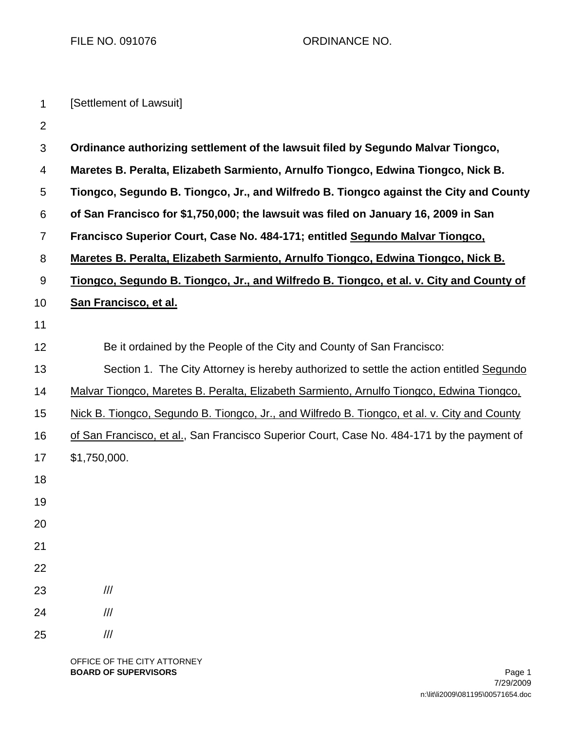FILE NO. 091076 CRDINANCE NO.

| $\mathbf 1$    | [Settlement of Lawsuit]                                                                      |  |  |
|----------------|----------------------------------------------------------------------------------------------|--|--|
| $\overline{2}$ |                                                                                              |  |  |
| 3              | Ordinance authorizing settlement of the lawsuit filed by Segundo Malvar Tiongco,             |  |  |
| 4              | Maretes B. Peralta, Elizabeth Sarmiento, Arnulfo Tiongco, Edwina Tiongco, Nick B.            |  |  |
| 5              | Tiongco, Segundo B. Tiongco, Jr., and Wilfredo B. Tiongco against the City and County        |  |  |
| 6              | of San Francisco for \$1,750,000; the lawsuit was filed on January 16, 2009 in San           |  |  |
| 7              | Francisco Superior Court, Case No. 484-171; entitled Segundo Malvar Tiongco,                 |  |  |
| 8              | Maretes B. Peralta, Elizabeth Sarmiento, Arnulfo Tiongco, Edwina Tiongco, Nick B.            |  |  |
| 9              | Tiongco, Segundo B. Tiongco, Jr., and Wilfredo B. Tiongco, et al. v. City and County of      |  |  |
| 10             | San Francisco, et al.                                                                        |  |  |
| 11             |                                                                                              |  |  |
| 12             | Be it ordained by the People of the City and County of San Francisco:                        |  |  |
| 13             | Section 1. The City Attorney is hereby authorized to settle the action entitled Segundo      |  |  |
| 14             | Malvar Tiongco, Maretes B. Peralta, Elizabeth Sarmiento, Arnulfo Tiongco, Edwina Tiongco,    |  |  |
| 15             | Nick B. Tiongco, Segundo B. Tiongco, Jr., and Wilfredo B. Tiongco, et al. v. City and County |  |  |
| 16             | of San Francisco, et al., San Francisco Superior Court, Case No. 484-171 by the payment of   |  |  |
| 17             | \$1,750,000.                                                                                 |  |  |
| 18             |                                                                                              |  |  |
| 19             |                                                                                              |  |  |
| 20             |                                                                                              |  |  |
| 21             |                                                                                              |  |  |
| 22             |                                                                                              |  |  |
| 23             | $\ensuremath{/\!/\!/\!_\ell}$                                                                |  |  |
| 24             | $\ensuremath{/\!/\!/\!_\ell}$                                                                |  |  |
| 25             | $\ensuremath{\mathit{III}}\xspace$                                                           |  |  |
|                |                                                                                              |  |  |

OFFICE OF THE CITY ATTORNEY **BOARD OF SUPERVISORS** Page 1